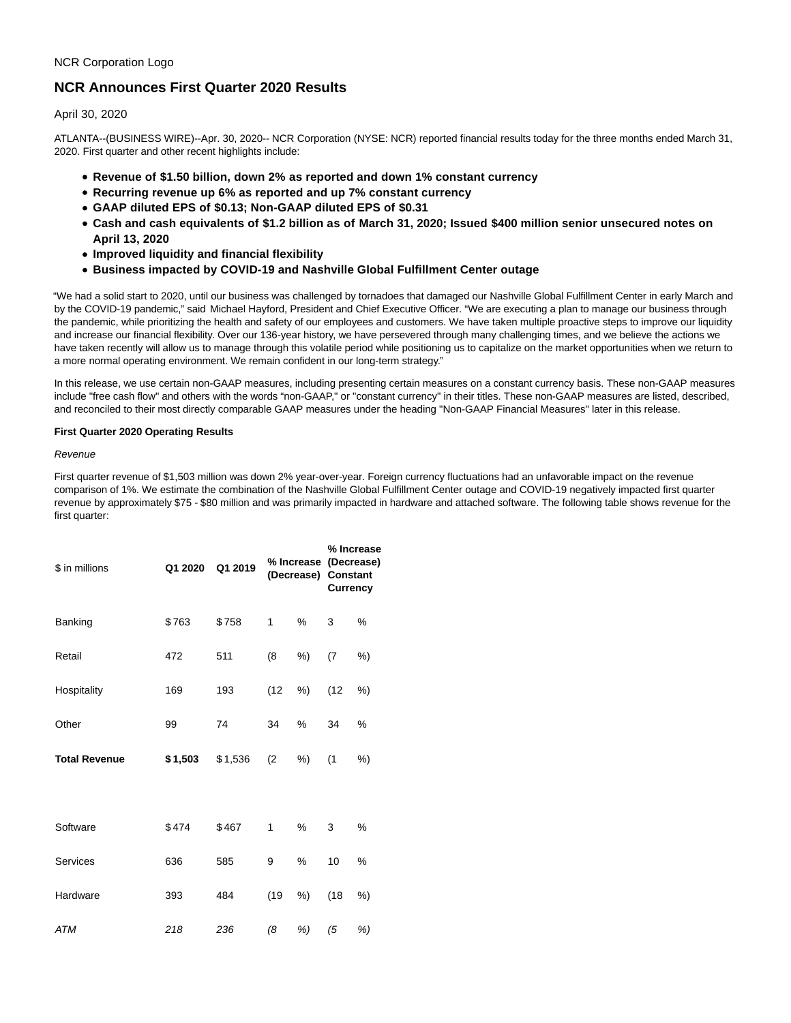### NCR Corporation Logo

## **NCR Announces First Quarter 2020 Results**

### April 30, 2020

ATLANTA--(BUSINESS WIRE)--Apr. 30, 2020-- NCR Corporation (NYSE: NCR) reported financial results today for the three months ended March 31, 2020. First quarter and other recent highlights include:

- **Revenue of \$1.50 billion, down 2% as reported and down 1% constant currency**
- **Recurring revenue up 6% as reported and up 7% constant currency**
- **GAAP diluted EPS of \$0.13; Non-GAAP diluted EPS of \$0.31**
- **Cash and cash equivalents of \$1.2 billion as of March 31, 2020; Issued \$400 million senior unsecured notes on April 13, 2020**
- **Improved liquidity and financial flexibility**
- **Business impacted by COVID-19 and Nashville Global Fulfillment Center outage**

"We had a solid start to 2020, until our business was challenged by tornadoes that damaged our Nashville Global Fulfillment Center in early March and by the COVID-19 pandemic," said Michael Hayford, President and Chief Executive Officer. "We are executing a plan to manage our business through the pandemic, while prioritizing the health and safety of our employees and customers. We have taken multiple proactive steps to improve our liquidity and increase our financial flexibility. Over our 136-year history, we have persevered through many challenging times, and we believe the actions we have taken recently will allow us to manage through this volatile period while positioning us to capitalize on the market opportunities when we return to a more normal operating environment. We remain confident in our long-term strategy."

In this release, we use certain non-GAAP measures, including presenting certain measures on a constant currency basis. These non-GAAP measures include "free cash flow" and others with the words "non-GAAP," or "constant currency" in their titles. These non-GAAP measures are listed, described, and reconciled to their most directly comparable GAAP measures under the heading "Non-GAAP Financial Measures" later in this release.

### **First Quarter 2020 Operating Results**

### Revenue

First quarter revenue of \$1,503 million was down 2% year-over-year. Foreign currency fluctuations had an unfavorable impact on the revenue comparison of 1%. We estimate the combination of the Nashville Global Fulfillment Center outage and COVID-19 negatively impacted first quarter revenue by approximately \$75 - \$80 million and was primarily impacted in hardware and attached software. The following table shows revenue for the first quarter:

| \$ in millions       | Q1 2020    | Q1 2019 | % Increase (Decrease)<br>(Decrease) |       | % Increase<br>Constant<br><b>Currency</b> |                                             |
|----------------------|------------|---------|-------------------------------------|-------|-------------------------------------------|---------------------------------------------|
| Banking              | \$763      | \$758   | 1                                   | %     | 3                                         | %                                           |
| Retail               | 511<br>472 |         | (8)                                 | %)    | (7)                                       | %)                                          |
| Hospitality          | 169        | 193     | (12)                                | %     | (12)                                      | $% \mathcal{H}(\mathcal{M}_{\mathrm{c}})$ % |
| Other                | 99         | 74      | 34                                  | %     | 34                                        | %                                           |
| <b>Total Revenue</b> | \$1,503    | \$1,536 | (2)                                 | %)    | (1)                                       | %)                                          |
|                      |            |         |                                     |       |                                           |                                             |
| Software             | \$474      | \$467   | 1                                   | %     | 3                                         | %                                           |
| Services             | 636        | 585     | 9                                   | %     | 10                                        | %                                           |
| Hardware             | 393        | 484     | (19)                                | $%$ ) | (18)                                      | %)                                          |
| <b>ATM</b>           | 218        | 236     | (8)                                 | %)    | (5)                                       | %)                                          |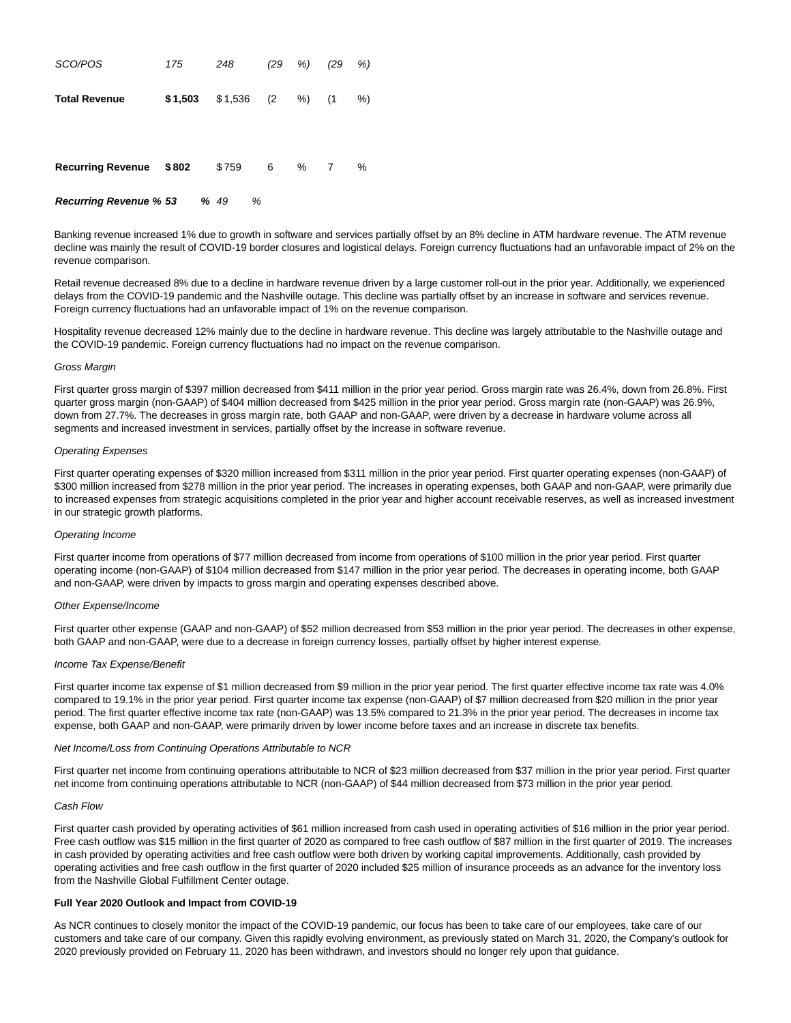| SCO/POS                       | 175     | 248       | (29 | %) | (29 | %) |
|-------------------------------|---------|-----------|-----|----|-----|----|
| <b>Total Revenue</b>          | \$1,503 | \$1,536   | (2) | %) | (1) | %) |
| <b>Recurring Revenue</b>      | \$802   | \$759     | 6   | %  | 7   | %  |
| <b>Recurring Revenue % 53</b> |         | % 49<br>% |     |    |     |    |

Banking revenue increased 1% due to growth in software and services partially offset by an 8% decline in ATM hardware revenue. The ATM revenue decline was mainly the result of COVID-19 border closures and logistical delays. Foreign currency fluctuations had an unfavorable impact of 2% on the revenue comparison.

Retail revenue decreased 8% due to a decline in hardware revenue driven by a large customer roll-out in the prior year. Additionally, we experienced delays from the COVID-19 pandemic and the Nashville outage. This decline was partially offset by an increase in software and services revenue. Foreign currency fluctuations had an unfavorable impact of 1% on the revenue comparison.

Hospitality revenue decreased 12% mainly due to the decline in hardware revenue. This decline was largely attributable to the Nashville outage and the COVID-19 pandemic. Foreign currency fluctuations had no impact on the revenue comparison.

#### Gross Margin

First quarter gross margin of \$397 million decreased from \$411 million in the prior year period. Gross margin rate was 26.4%, down from 26.8%. First quarter gross margin (non-GAAP) of \$404 million decreased from \$425 million in the prior year period. Gross margin rate (non-GAAP) was 26.9%, down from 27.7%. The decreases in gross margin rate, both GAAP and non-GAAP, were driven by a decrease in hardware volume across all segments and increased investment in services, partially offset by the increase in software revenue.

#### Operating Expenses

First quarter operating expenses of \$320 million increased from \$311 million in the prior year period. First quarter operating expenses (non-GAAP) of \$300 million increased from \$278 million in the prior year period. The increases in operating expenses, both GAAP and non-GAAP, were primarily due to increased expenses from strategic acquisitions completed in the prior year and higher account receivable reserves, as well as increased investment in our strategic growth platforms.

#### Operating Income

First quarter income from operations of \$77 million decreased from income from operations of \$100 million in the prior year period. First quarter operating income (non-GAAP) of \$104 million decreased from \$147 million in the prior year period. The decreases in operating income, both GAAP and non-GAAP, were driven by impacts to gross margin and operating expenses described above.

#### Other Expense/Income

First quarter other expense (GAAP and non-GAAP) of \$52 million decreased from \$53 million in the prior year period. The decreases in other expense, both GAAP and non-GAAP, were due to a decrease in foreign currency losses, partially offset by higher interest expense.

#### Income Tax Expense/Benefit

First quarter income tax expense of \$1 million decreased from \$9 million in the prior year period. The first quarter effective income tax rate was 4.0% compared to 19.1% in the prior year period. First quarter income tax expense (non-GAAP) of \$7 million decreased from \$20 million in the prior year period. The first quarter effective income tax rate (non-GAAP) was 13.5% compared to 21.3% in the prior year period. The decreases in income tax expense, both GAAP and non-GAAP, were primarily driven by lower income before taxes and an increase in discrete tax benefits.

### Net Income/Loss from Continuing Operations Attributable to NCR

First quarter net income from continuing operations attributable to NCR of \$23 million decreased from \$37 million in the prior year period. First quarter net income from continuing operations attributable to NCR (non-GAAP) of \$44 million decreased from \$73 million in the prior year period.

#### Cash Flow

First quarter cash provided by operating activities of \$61 million increased from cash used in operating activities of \$16 million in the prior year period. Free cash outflow was \$15 million in the first quarter of 2020 as compared to free cash outflow of \$87 million in the first quarter of 2019. The increases in cash provided by operating activities and free cash outflow were both driven by working capital improvements. Additionally, cash provided by operating activities and free cash outflow in the first quarter of 2020 included \$25 million of insurance proceeds as an advance for the inventory loss from the Nashville Global Fulfillment Center outage.

#### **Full Year 2020 Outlook and Impact from COVID-19**

As NCR continues to closely monitor the impact of the COVID-19 pandemic, our focus has been to take care of our employees, take care of our customers and take care of our company. Given this rapidly evolving environment, as previously stated on March 31, 2020, the Company's outlook for 2020 previously provided on February 11, 2020 has been withdrawn, and investors should no longer rely upon that guidance.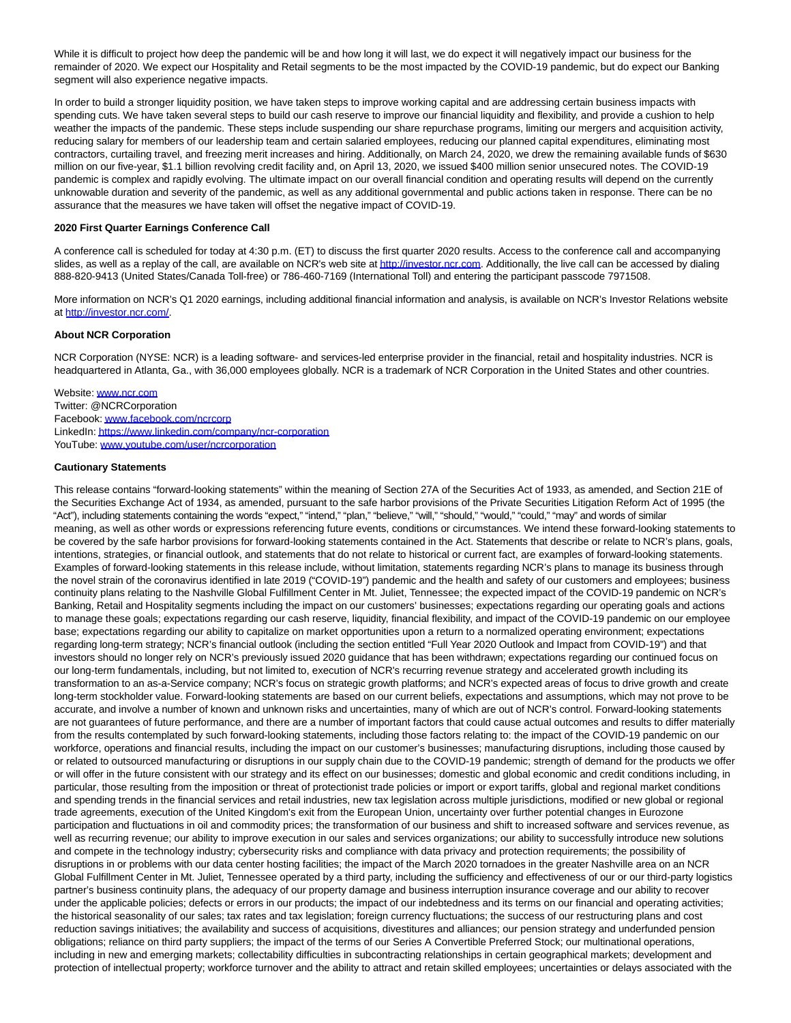While it is difficult to project how deep the pandemic will be and how long it will last, we do expect it will negatively impact our business for the remainder of 2020. We expect our Hospitality and Retail segments to be the most impacted by the COVID-19 pandemic, but do expect our Banking segment will also experience negative impacts.

In order to build a stronger liquidity position, we have taken steps to improve working capital and are addressing certain business impacts with spending cuts. We have taken several steps to build our cash reserve to improve our financial liquidity and flexibility, and provide a cushion to help weather the impacts of the pandemic. These steps include suspending our share repurchase programs, limiting our mergers and acquisition activity, reducing salary for members of our leadership team and certain salaried employees, reducing our planned capital expenditures, eliminating most contractors, curtailing travel, and freezing merit increases and hiring. Additionally, on March 24, 2020, we drew the remaining available funds of \$630 million on our five-year, \$1.1 billion revolving credit facility and, on April 13, 2020, we issued \$400 million senior unsecured notes. The COVID-19 pandemic is complex and rapidly evolving. The ultimate impact on our overall financial condition and operating results will depend on the currently unknowable duration and severity of the pandemic, as well as any additional governmental and public actions taken in response. There can be no assurance that the measures we have taken will offset the negative impact of COVID-19.

#### **2020 First Quarter Earnings Conference Call**

A conference call is scheduled for today at 4:30 p.m. (ET) to discuss the first quarter 2020 results. Access to the conference call and accompanying slides, as well as a replay of the call, are available on NCR's web site a[t http://investor.ncr.com.](https://cts.businesswire.com/ct/CT?id=smartlink&url=http%3A%2F%2Finvestor.ncr.com&esheet=52213005&newsitemid=20200430005926&lan=en-US&anchor=http%3A%2F%2Finvestor.ncr.com&index=1&md5=9e3e2adc7973e68d4525565a1f18f705) Additionally, the live call can be accessed by dialing 888-820-9413 (United States/Canada Toll-free) or 786-460-7169 (International Toll) and entering the participant passcode 7971508.

More information on NCR's Q1 2020 earnings, including additional financial information and analysis, is available on NCR's Investor Relations website at [http://investor.ncr.com/.](https://cts.businesswire.com/ct/CT?id=smartlink&url=http%3A%2F%2Finvestor.ncr.com%2F&esheet=52213005&newsitemid=20200430005926&lan=en-US&anchor=http%3A%2F%2Finvestor.ncr.com%2F&index=2&md5=1b2438c40cc3a9a85f243f1c23281f37)

### **About NCR Corporation**

NCR Corporation (NYSE: NCR) is a leading software- and services-led enterprise provider in the financial, retail and hospitality industries. NCR is headquartered in Atlanta, Ga., with 36,000 employees globally. NCR is a trademark of NCR Corporation in the United States and other countries.

Website: [www.ncr.com](https://cts.businesswire.com/ct/CT?id=smartlink&url=http%3A%2F%2Fwww.ncr.com&esheet=52213005&newsitemid=20200430005926&lan=en-US&anchor=www.ncr.com&index=3&md5=ed931b8099c413cd3b270c5fe5655f5b) Twitter: @NCRCorporation Facebook[: www.facebook.com/ncrcorp](https://cts.businesswire.com/ct/CT?id=smartlink&url=http%3A%2F%2Fwww.facebook.com%2Fncrcorp&esheet=52213005&newsitemid=20200430005926&lan=en-US&anchor=www.facebook.com%2Fncrcorp&index=4&md5=591b16ac154de9b0a02f390c72995629) LinkedIn[: https://www.linkedin.com/company/ncr-corporation](https://cts.businesswire.com/ct/CT?id=smartlink&url=https%3A%2F%2Fwww.linkedin.com%2Fcompany%2Fncr-corporation&esheet=52213005&newsitemid=20200430005926&lan=en-US&anchor=https%3A%2F%2Fwww.linkedin.com%2Fcompany%2Fncr-corporation&index=5&md5=3bc1a9f8df827cc6c63c81ca00a8cd65) YouTube: [www.youtube.com/user/ncrcorporation](https://cts.businesswire.com/ct/CT?id=smartlink&url=http%3A%2F%2Fwww.youtube.com%2Fuser%2Fncrcorporation&esheet=52213005&newsitemid=20200430005926&lan=en-US&anchor=www.youtube.com%2Fuser%2Fncrcorporation&index=6&md5=b18df3eccb64b95bac2790cc431bc61c)

#### **Cautionary Statements**

This release contains "forward-looking statements" within the meaning of Section 27A of the Securities Act of 1933, as amended, and Section 21E of the Securities Exchange Act of 1934, as amended, pursuant to the safe harbor provisions of the Private Securities Litigation Reform Act of 1995 (the "Act"), including statements containing the words "expect," "intend," "plan," "believe," "will," "should," "would," "could," "may" and words of similar meaning, as well as other words or expressions referencing future events, conditions or circumstances. We intend these forward-looking statements to be covered by the safe harbor provisions for forward-looking statements contained in the Act. Statements that describe or relate to NCR's plans, goals, intentions, strategies, or financial outlook, and statements that do not relate to historical or current fact, are examples of forward-looking statements. Examples of forward-looking statements in this release include, without limitation, statements regarding NCR's plans to manage its business through the novel strain of the coronavirus identified in late 2019 ("COVID-19") pandemic and the health and safety of our customers and employees; business continuity plans relating to the Nashville Global Fulfillment Center in Mt. Juliet, Tennessee; the expected impact of the COVID-19 pandemic on NCR's Banking, Retail and Hospitality segments including the impact on our customers' businesses; expectations regarding our operating goals and actions to manage these goals; expectations regarding our cash reserve, liquidity, financial flexibility, and impact of the COVID-19 pandemic on our employee base; expectations regarding our ability to capitalize on market opportunities upon a return to a normalized operating environment; expectations regarding long-term strategy; NCR's financial outlook (including the section entitled "Full Year 2020 Outlook and Impact from COVID-19") and that investors should no longer rely on NCR's previously issued 2020 guidance that has been withdrawn; expectations regarding our continued focus on our long-term fundamentals, including, but not limited to, execution of NCR's recurring revenue strategy and accelerated growth including its transformation to an as-a-Service company; NCR's focus on strategic growth platforms; and NCR's expected areas of focus to drive growth and create long-term stockholder value. Forward-looking statements are based on our current beliefs, expectations and assumptions, which may not prove to be accurate, and involve a number of known and unknown risks and uncertainties, many of which are out of NCR's control. Forward-looking statements are not guarantees of future performance, and there are a number of important factors that could cause actual outcomes and results to differ materially from the results contemplated by such forward-looking statements, including those factors relating to: the impact of the COVID-19 pandemic on our workforce, operations and financial results, including the impact on our customer's businesses; manufacturing disruptions, including those caused by or related to outsourced manufacturing or disruptions in our supply chain due to the COVID-19 pandemic; strength of demand for the products we offer or will offer in the future consistent with our strategy and its effect on our businesses; domestic and global economic and credit conditions including, in particular, those resulting from the imposition or threat of protectionist trade policies or import or export tariffs, global and regional market conditions and spending trends in the financial services and retail industries, new tax legislation across multiple jurisdictions, modified or new global or regional trade agreements, execution of the United Kingdom's exit from the European Union, uncertainty over further potential changes in Eurozone participation and fluctuations in oil and commodity prices; the transformation of our business and shift to increased software and services revenue, as well as recurring revenue; our ability to improve execution in our sales and services organizations; our ability to successfully introduce new solutions and compete in the technology industry; cybersecurity risks and compliance with data privacy and protection requirements; the possibility of disruptions in or problems with our data center hosting facilities; the impact of the March 2020 tornadoes in the greater Nashville area on an NCR Global Fulfillment Center in Mt. Juliet, Tennessee operated by a third party, including the sufficiency and effectiveness of our or our third-party logistics partner's business continuity plans, the adequacy of our property damage and business interruption insurance coverage and our ability to recover under the applicable policies; defects or errors in our products; the impact of our indebtedness and its terms on our financial and operating activities; the historical seasonality of our sales; tax rates and tax legislation; foreign currency fluctuations; the success of our restructuring plans and cost reduction savings initiatives; the availability and success of acquisitions, divestitures and alliances; our pension strategy and underfunded pension obligations; reliance on third party suppliers; the impact of the terms of our Series A Convertible Preferred Stock; our multinational operations, including in new and emerging markets; collectability difficulties in subcontracting relationships in certain geographical markets; development and protection of intellectual property; workforce turnover and the ability to attract and retain skilled employees; uncertainties or delays associated with the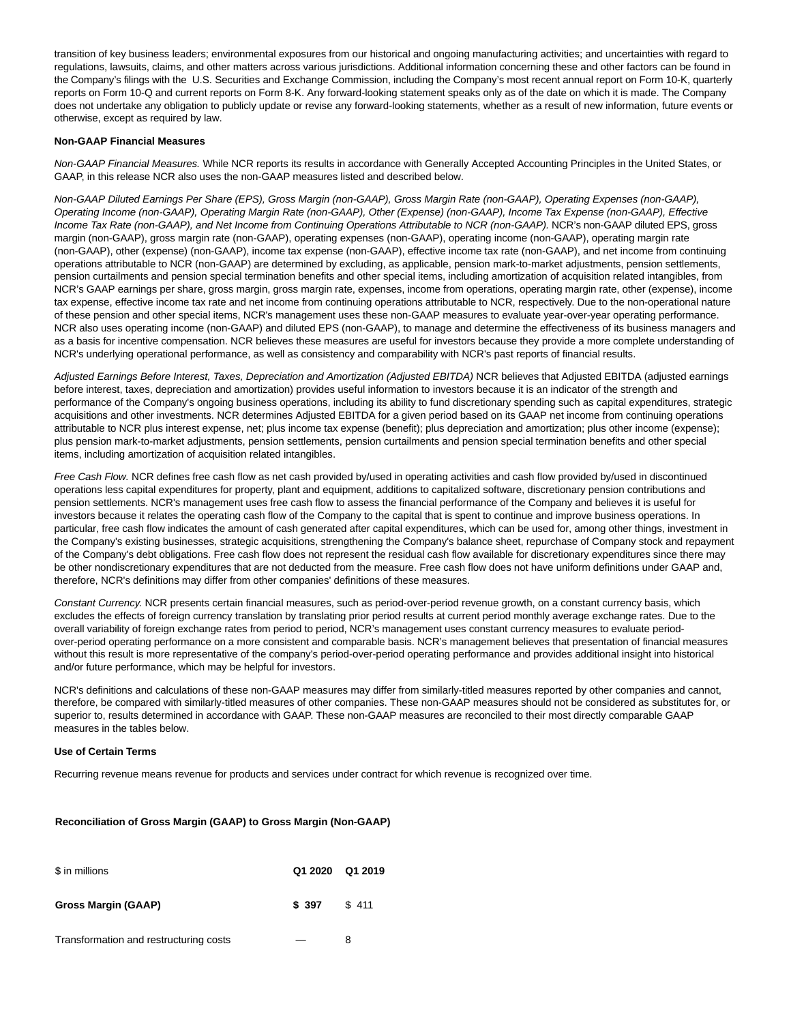transition of key business leaders; environmental exposures from our historical and ongoing manufacturing activities; and uncertainties with regard to regulations, lawsuits, claims, and other matters across various jurisdictions. Additional information concerning these and other factors can be found in the Company's filings with the U.S. Securities and Exchange Commission, including the Company's most recent annual report on Form 10-K, quarterly reports on Form 10-Q and current reports on Form 8-K. Any forward-looking statement speaks only as of the date on which it is made. The Company does not undertake any obligation to publicly update or revise any forward-looking statements, whether as a result of new information, future events or otherwise, except as required by law.

### **Non-GAAP Financial Measures**

Non-GAAP Financial Measures. While NCR reports its results in accordance with Generally Accepted Accounting Principles in the United States, or GAAP, in this release NCR also uses the non-GAAP measures listed and described below.

Non-GAAP Diluted Earnings Per Share (EPS), Gross Margin (non-GAAP), Gross Margin Rate (non-GAAP), Operating Expenses (non-GAAP), Operating Income (non-GAAP), Operating Margin Rate (non-GAAP), Other (Expense) (non-GAAP), Income Tax Expense (non-GAAP), Effective Income Tax Rate (non-GAAP), and Net Income from Continuing Operations Attributable to NCR (non-GAAP). NCR's non-GAAP diluted EPS, gross margin (non-GAAP), gross margin rate (non-GAAP), operating expenses (non-GAAP), operating income (non-GAAP), operating margin rate (non-GAAP), other (expense) (non-GAAP), income tax expense (non-GAAP), effective income tax rate (non-GAAP), and net income from continuing operations attributable to NCR (non-GAAP) are determined by excluding, as applicable, pension mark-to-market adjustments, pension settlements, pension curtailments and pension special termination benefits and other special items, including amortization of acquisition related intangibles, from NCR's GAAP earnings per share, gross margin, gross margin rate, expenses, income from operations, operating margin rate, other (expense), income tax expense, effective income tax rate and net income from continuing operations attributable to NCR, respectively. Due to the non-operational nature of these pension and other special items, NCR's management uses these non-GAAP measures to evaluate year-over-year operating performance. NCR also uses operating income (non-GAAP) and diluted EPS (non-GAAP), to manage and determine the effectiveness of its business managers and as a basis for incentive compensation. NCR believes these measures are useful for investors because they provide a more complete understanding of NCR's underlying operational performance, as well as consistency and comparability with NCR's past reports of financial results.

Adjusted Earnings Before Interest, Taxes, Depreciation and Amortization (Adjusted EBITDA) NCR believes that Adjusted EBITDA (adjusted earnings before interest, taxes, depreciation and amortization) provides useful information to investors because it is an indicator of the strength and performance of the Company's ongoing business operations, including its ability to fund discretionary spending such as capital expenditures, strategic acquisitions and other investments. NCR determines Adjusted EBITDA for a given period based on its GAAP net income from continuing operations attributable to NCR plus interest expense, net; plus income tax expense (benefit); plus depreciation and amortization; plus other income (expense); plus pension mark-to-market adjustments, pension settlements, pension curtailments and pension special termination benefits and other special items, including amortization of acquisition related intangibles.

Free Cash Flow. NCR defines free cash flow as net cash provided by/used in operating activities and cash flow provided by/used in discontinued operations less capital expenditures for property, plant and equipment, additions to capitalized software, discretionary pension contributions and pension settlements. NCR's management uses free cash flow to assess the financial performance of the Company and believes it is useful for investors because it relates the operating cash flow of the Company to the capital that is spent to continue and improve business operations. In particular, free cash flow indicates the amount of cash generated after capital expenditures, which can be used for, among other things, investment in the Company's existing businesses, strategic acquisitions, strengthening the Company's balance sheet, repurchase of Company stock and repayment of the Company's debt obligations. Free cash flow does not represent the residual cash flow available for discretionary expenditures since there may be other nondiscretionary expenditures that are not deducted from the measure. Free cash flow does not have uniform definitions under GAAP and, therefore, NCR's definitions may differ from other companies' definitions of these measures.

Constant Currency. NCR presents certain financial measures, such as period-over-period revenue growth, on a constant currency basis, which excludes the effects of foreign currency translation by translating prior period results at current period monthly average exchange rates. Due to the overall variability of foreign exchange rates from period to period, NCR's management uses constant currency measures to evaluate periodover-period operating performance on a more consistent and comparable basis. NCR's management believes that presentation of financial measures without this result is more representative of the company's period-over-period operating performance and provides additional insight into historical and/or future performance, which may be helpful for investors.

NCR's definitions and calculations of these non-GAAP measures may differ from similarly-titled measures reported by other companies and cannot, therefore, be compared with similarly-titled measures of other companies. These non-GAAP measures should not be considered as substitutes for, or superior to, results determined in accordance with GAAP. These non-GAAP measures are reconciled to their most directly comparable GAAP measures in the tables below.

### **Use of Certain Terms**

Recurring revenue means revenue for products and services under contract for which revenue is recognized over time.

### **Reconciliation of Gross Margin (GAAP) to Gross Margin (Non-GAAP)**

| \$ in millions                         | Q1 2020 Q1 2019 |       |
|----------------------------------------|-----------------|-------|
| <b>Gross Margin (GAAP)</b>             | \$ 397          | \$411 |
| Transformation and restructuring costs |                 | 8     |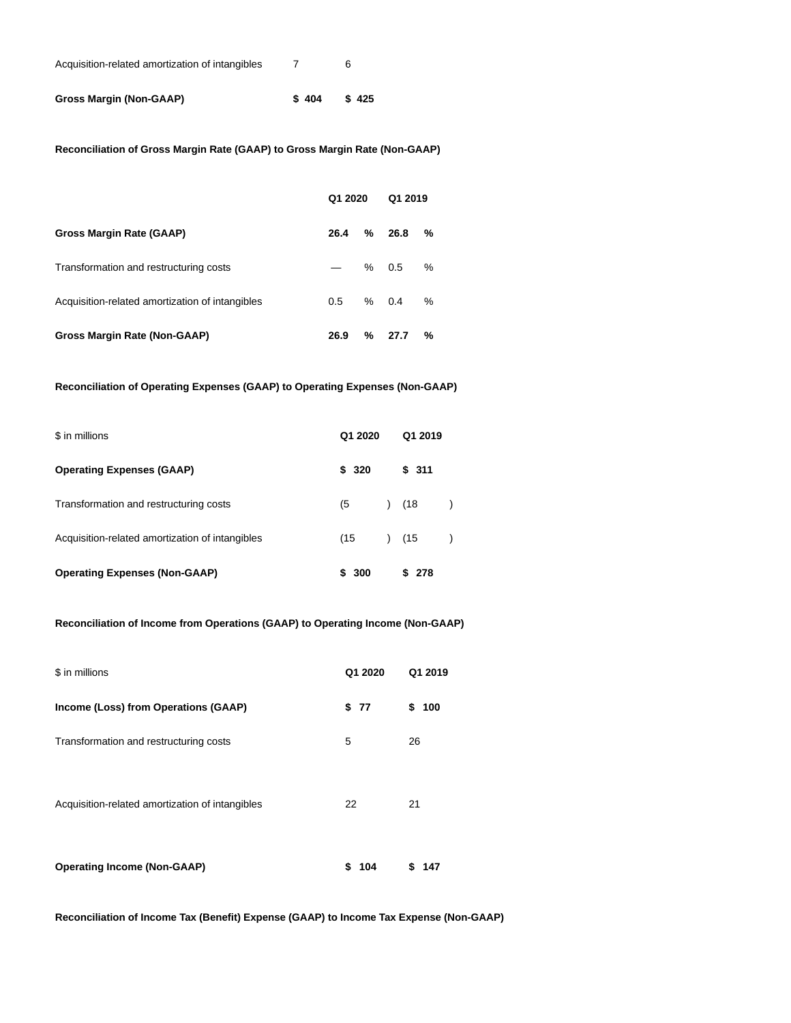| Acquisition-related amortization of intangibles |       | 6 |       |
|-------------------------------------------------|-------|---|-------|
| Gross Margin (Non-GAAP)                         | \$404 |   | \$425 |

### **Reconciliation of Gross Margin Rate (GAAP) to Gross Margin Rate (Non-GAAP)**

|                                                 | Q1 2020       |   | Q1 2019 |   |
|-------------------------------------------------|---------------|---|---------|---|
| <b>Gross Margin Rate (GAAP)</b>                 | 26.4          | % | 26.8    | % |
| Transformation and restructuring costs          |               |   | % 0.5   | % |
| Acquisition-related amortization of intangibles | $0.5^{\circ}$ |   | % 0.4   | % |
| Gross Margin Rate (Non-GAAP)                    | 26.9          | % | 27.7    | % |

### **Reconciliation of Operating Expenses (GAAP) to Operating Expenses (Non-GAAP)**

| <b>Operating Expenses (Non-GAAP)</b>            | \$ 300        | 278     |               |
|-------------------------------------------------|---------------|---------|---------------|
| Acquisition-related amortization of intangibles | $(15)$ $(15)$ |         | $\rightarrow$ |
| Transformation and restructuring costs          | (5            | ) (18   |               |
| <b>Operating Expenses (GAAP)</b>                | \$320         | \$311   |               |
| \$ in millions                                  | Q1 2020       | Q1 2019 |               |

### **Reconciliation of Income from Operations (GAAP) to Operating Income (Non-GAAP)**

| \$ in millions                                  | Q1 2020  | Q1 2019   |
|-------------------------------------------------|----------|-----------|
| Income (Loss) from Operations (GAAP)            | \$77     | 100<br>\$ |
| Transformation and restructuring costs          | 5        | 26        |
| Acquisition-related amortization of intangibles | 22       | 21        |
| <b>Operating Income (Non-GAAP)</b>              | S<br>104 | 147<br>S  |

**Reconciliation of Income Tax (Benefit) Expense (GAAP) to Income Tax Expense (Non-GAAP)**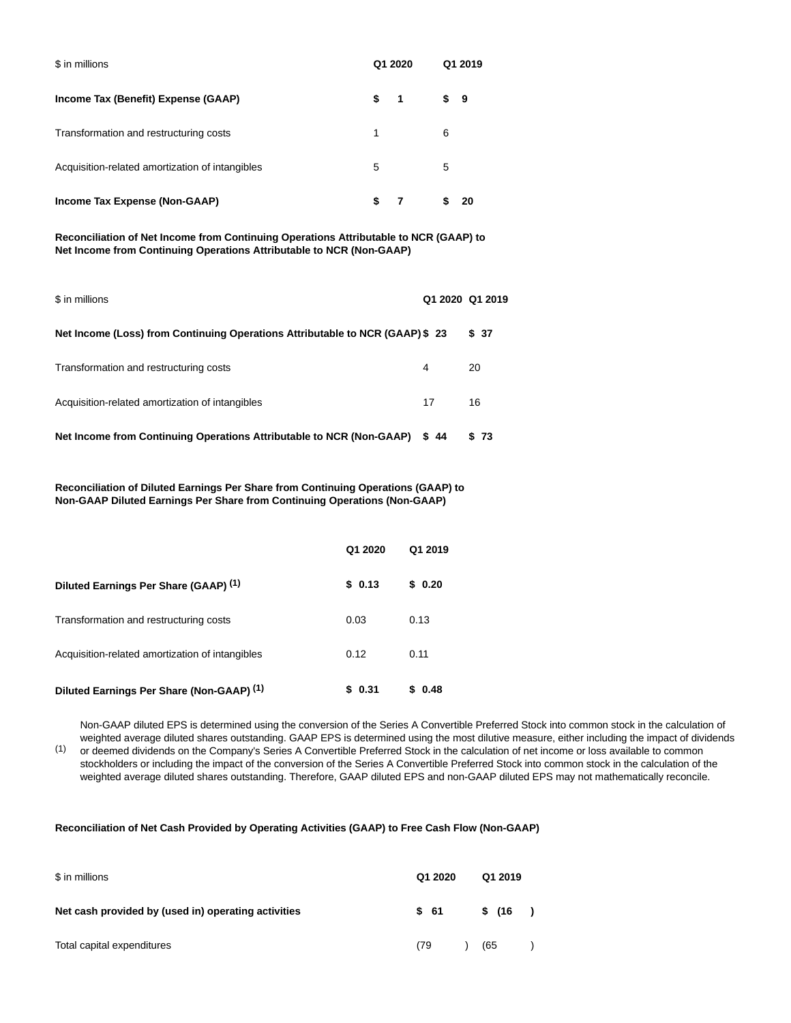| \$ in millions                                  |    | Q1 2020        | Q1 2019 |     |  |
|-------------------------------------------------|----|----------------|---------|-----|--|
| Income Tax (Benefit) Expense (GAAP)             | \$ | $\blacksquare$ |         | - 9 |  |
| Transformation and restructuring costs          | 1  |                | 6       |     |  |
| Acquisition-related amortization of intangibles | 5  |                | 5       |     |  |
| Income Tax Expense (Non-GAAP)                   |    |                |         | 20  |  |

**Reconciliation of Net Income from Continuing Operations Attributable to NCR (GAAP) to Net Income from Continuing Operations Attributable to NCR (Non-GAAP)**

| \$ in millions                                                               |      | Q1 2020 Q1 2019 |
|------------------------------------------------------------------------------|------|-----------------|
| Net Income (Loss) from Continuing Operations Attributable to NCR (GAAP) \$23 |      | \$ 37           |
| Transformation and restructuring costs                                       | 4    | 20              |
| Acquisition-related amortization of intangibles                              | 17   | 16              |
| Net Income from Continuing Operations Attributable to NCR (Non-GAAP)         | \$44 | \$73            |

**Reconciliation of Diluted Earnings Per Share from Continuing Operations (GAAP) to Non-GAAP Diluted Earnings Per Share from Continuing Operations (Non-GAAP)**

|                                                  | Q1 2020 | Q1 2019 |
|--------------------------------------------------|---------|---------|
| Diluted Earnings Per Share (GAAP) <sup>(1)</sup> | \$0.13  | \$0.20  |
| Transformation and restructuring costs           | 0.03    | 0.13    |
| Acquisition-related amortization of intangibles  | 0.12    | 0.11    |
| Diluted Earnings Per Share (Non-GAAP) (1)        | \$ 0.31 | \$ 0.48 |

(1) Non-GAAP diluted EPS is determined using the conversion of the Series A Convertible Preferred Stock into common stock in the calculation of weighted average diluted shares outstanding. GAAP EPS is determined using the most dilutive measure, either including the impact of dividends or deemed dividends on the Company's Series A Convertible Preferred Stock in the calculation of net income or loss available to common stockholders or including the impact of the conversion of the Series A Convertible Preferred Stock into common stock in the calculation of the weighted average diluted shares outstanding. Therefore, GAAP diluted EPS and non-GAAP diluted EPS may not mathematically reconcile.

### **Reconciliation of Net Cash Provided by Operating Activities (GAAP) to Free Cash Flow (Non-GAAP)**

| \$ in millions                                      | Q1 2020 | Q1 2019 |               |
|-----------------------------------------------------|---------|---------|---------------|
| Net cash provided by (used in) operating activities | \$ 61   | \$ (16  | $\rightarrow$ |
| Total capital expenditures                          | (79     | (65     |               |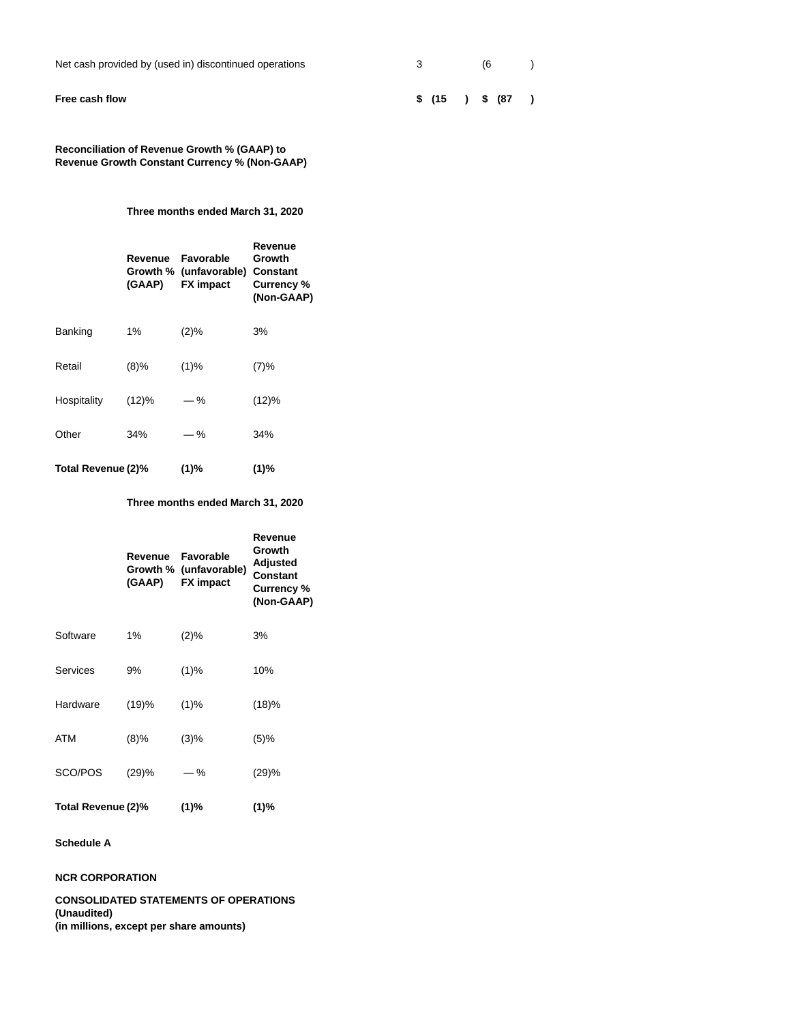|  |  |  | Net cash provided by (used in) discontinued operations |  |
|--|--|--|--------------------------------------------------------|--|
|  |  |  |                                                        |  |

**Reconciliation of Revenue Growth % (GAAP) to**

**Revenue Growth Constant Currency % (Non-GAAP)**

#### **Three months ended March 31, 2020**

|                    | Revenue<br>Growth %<br>(GAAP) | Favorable<br>(unfavorable)<br><b>FX</b> impact | Revenue<br>Growth<br>Constant<br><b>Currency %</b><br>(Non-GAAP) |
|--------------------|-------------------------------|------------------------------------------------|------------------------------------------------------------------|
| Banking            | 1%                            | $(2)\%$                                        | 3%                                                               |
| Retail             | (8)%                          | (1)%                                           | (7)%                                                             |
| Hospitality        | (12)%                         | $-$ %                                          | (12)%                                                            |
| Other              | 34%                           | $-$ %                                          | 34%                                                              |
| Total Revenue (2)% |                               | (1)%                                           | (1)%                                                             |

### **Three months ended March 31, 2020**

|                    | Revenue<br>Growth %<br>(GAAP) | Favorable<br>(unfavorable)<br><b>FX</b> impact | Revenue<br>Growth<br><b>Adjusted</b><br><b>Constant</b><br>Currency %<br>(Non-GAAP) |
|--------------------|-------------------------------|------------------------------------------------|-------------------------------------------------------------------------------------|
| Software           | 1%                            | (2)%                                           | 3%                                                                                  |
| Services           | 9%                            | (1)%                                           | 10%                                                                                 |
| Hardware           | (19)%                         | (1)%                                           | (18)%                                                                               |
| ATM                | $(8)\%$                       | (3)%                                           | (5)%                                                                                |
| SCO/POS            | (29)%                         | $-$ %                                          | (29)%                                                                               |
| Total Revenue (2)% |                               | (1)%                                           | (1)%                                                                                |

### **Schedule A**

### **NCR CORPORATION**

### **CONSOLIDATED STATEMENTS OF OPERATIONS (Unaudited) (in millions, except per share amounts)**

| $\mathbf{3}$ | (6) | ) |
|--------------|-----|---|
|              |     |   |

**Free cash flow \$ (15 ) \$ (87 )**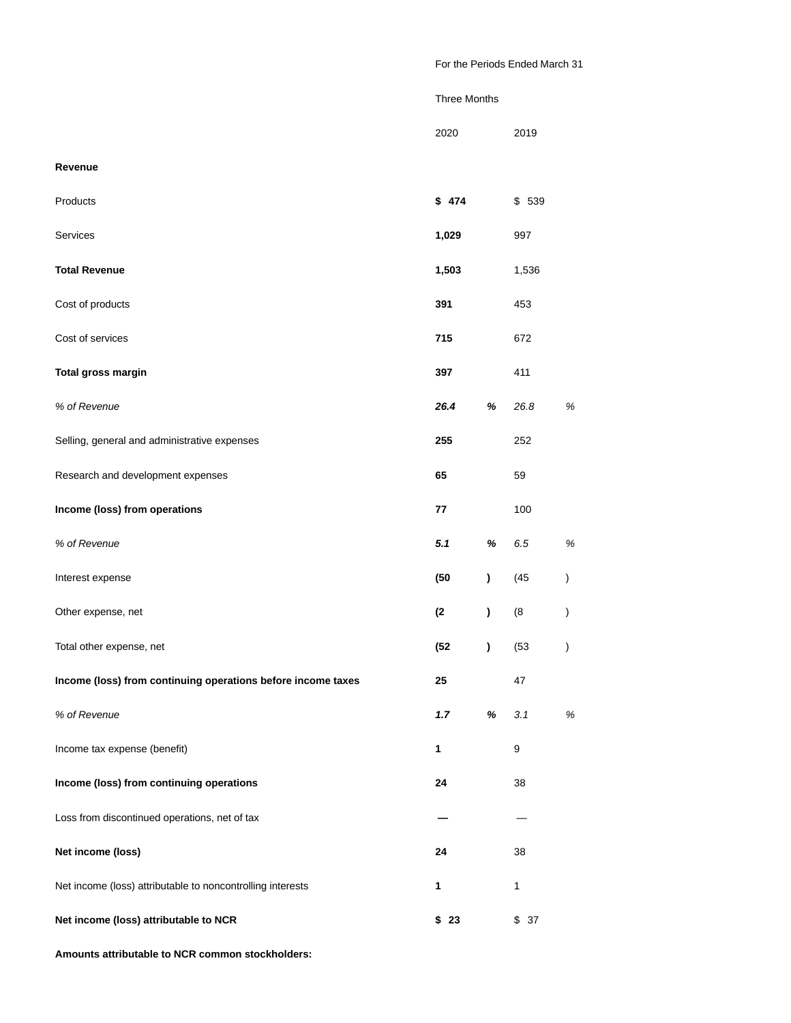### For the Periods Ended March 31

# Three Months 2020 2019

### **Revenue**

| Products                                                     | \$474 |               | \$ 539 |                        |
|--------------------------------------------------------------|-------|---------------|--------|------------------------|
| <b>Services</b>                                              | 1,029 |               | 997    |                        |
| <b>Total Revenue</b>                                         | 1,503 |               | 1,536  |                        |
| Cost of products                                             | 391   |               | 453    |                        |
| Cost of services                                             | 715   |               | 672    |                        |
| Total gross margin                                           | 397   |               | 411    |                        |
| % of Revenue                                                 | 26.4  | %             | 26.8   | $\%$                   |
| Selling, general and administrative expenses                 | 255   |               | 252    |                        |
| Research and development expenses                            | 65    |               | 59     |                        |
| Income (loss) from operations                                | 77    |               | 100    |                        |
| % of Revenue                                                 | 5.1   | %             | 6.5    | $\%$                   |
| Interest expense                                             | (50)  | $\mathcal{L}$ | (45)   | $\big)$                |
| Other expense, net                                           | (2)   | $\lambda$     | (8)    | $\mathcal{C}^{\prime}$ |
| Total other expense, net                                     | (52)  | $\lambda$     | (53)   | $\big)$                |
| Income (loss) from continuing operations before income taxes | 25    |               | 47     |                        |
| % of Revenue                                                 | 1.7   | %             | 3.1    | $\%$                   |
| Income tax expense (benefit)                                 | 1     |               | 9      |                        |
| Income (loss) from continuing operations                     | 24    |               | 38     |                        |
| Loss from discontinued operations, net of tax                |       |               |        |                        |
| Net income (loss)                                            | 24    |               | 38     |                        |
| Net income (loss) attributable to noncontrolling interests   | 1     |               | 1      |                        |
| Net income (loss) attributable to NCR                        | \$23  |               | \$37   |                        |

**Amounts attributable to NCR common stockholders:**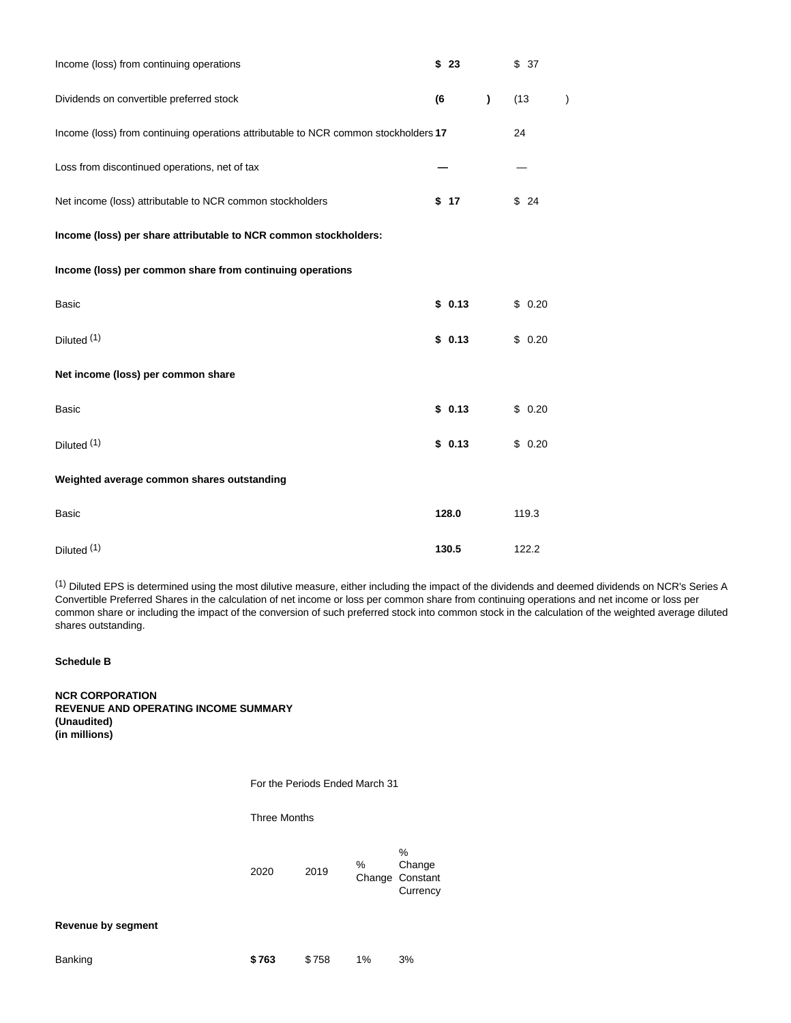| Income (loss) from continuing operations                                            | \$  | - 23   |           | \$37   |  |
|-------------------------------------------------------------------------------------|-----|--------|-----------|--------|--|
| Dividends on convertible preferred stock                                            | (6) |        | $\lambda$ | (13)   |  |
| Income (loss) from continuing operations attributable to NCR common stockholders 17 |     |        |           | 24     |  |
| Loss from discontinued operations, net of tax                                       |     |        |           |        |  |
| Net income (loss) attributable to NCR common stockholders                           |     | \$17   |           | \$24   |  |
| Income (loss) per share attributable to NCR common stockholders:                    |     |        |           |        |  |
| Income (loss) per common share from continuing operations                           |     |        |           |        |  |
| Basic                                                                               |     | \$0.13 |           | \$0.20 |  |
| Diluted <sup>(1)</sup>                                                              |     | \$0.13 |           | \$0.20 |  |
| Net income (loss) per common share                                                  |     |        |           |        |  |
| Basic                                                                               |     | \$0.13 |           | \$0.20 |  |
| Diluted <sup>(1)</sup>                                                              |     | \$0.13 |           | \$0.20 |  |
| Weighted average common shares outstanding                                          |     |        |           |        |  |
| Basic                                                                               |     | 128.0  |           | 119.3  |  |
| Diluted <sup>(1)</sup>                                                              |     | 130.5  |           | 122.2  |  |

<sup>(1)</sup> Diluted EPS is determined using the most dilutive measure, either including the impact of the dividends and deemed dividends on NCR's Series A Convertible Preferred Shares in the calculation of net income or loss per common share from continuing operations and net income or loss per common share or including the impact of the conversion of such preferred stock into common stock in the calculation of the weighted average diluted shares outstanding.

### **Schedule B**

**NCR CORPORATION REVENUE AND OPERATING INCOME SUMMARY (Unaudited) (in millions)**

For the Periods Ended March 31

Three Months

|      |      |   | ℅               |
|------|------|---|-----------------|
| 2020 | 2019 | ℅ | Change          |
|      |      |   | Change Constant |
|      |      |   | Currency        |

### **Revenue by segment**

| Banking | \$763 | \$758 | 1% | 3% |
|---------|-------|-------|----|----|
|         |       |       |    |    |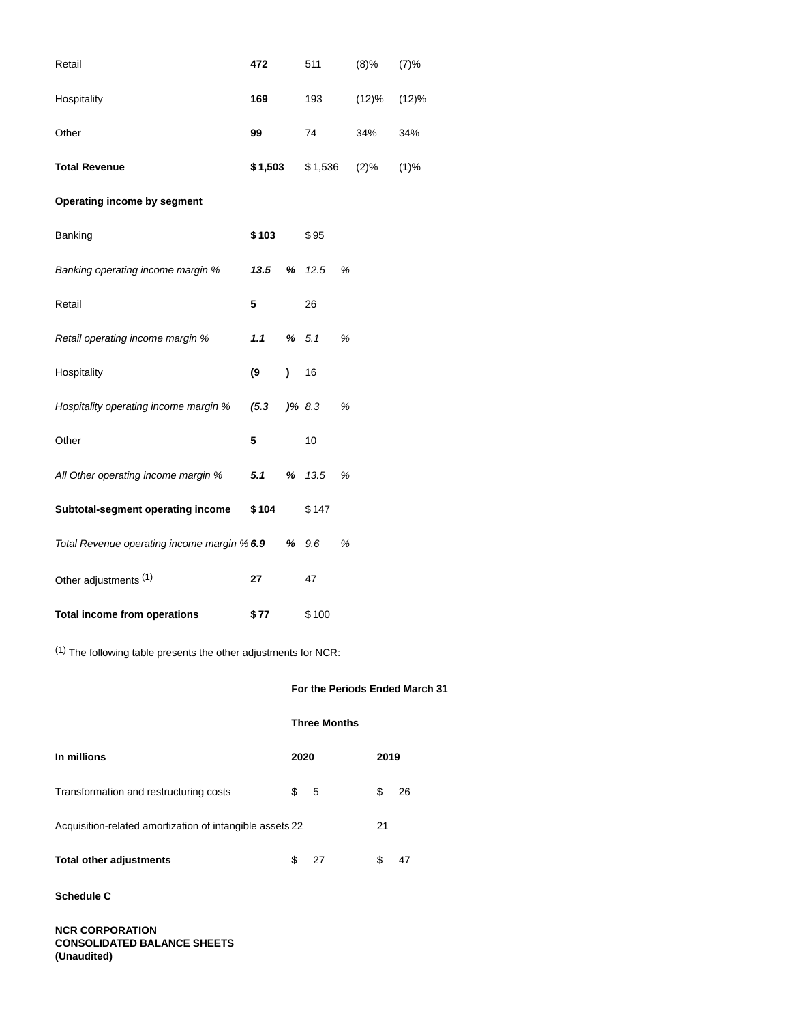| Retail                                      | 472     |           | 511     |      | (8)%  | (7)%  |
|---------------------------------------------|---------|-----------|---------|------|-------|-------|
| Hospitality                                 | 169     |           | 193     |      | (12)% | (12)% |
| Other                                       | 99      |           | 74      |      | 34%   | 34%   |
| <b>Total Revenue</b>                        | \$1,503 |           | \$1,536 |      | (2)%  | (1)%  |
| Operating income by segment                 |         |           |         |      |       |       |
| Banking                                     | \$103   |           | \$95    |      |       |       |
| Banking operating income margin %           | 13.5    | %         | 12.5    | %    |       |       |
| Retail                                      | 5       |           | 26      |      |       |       |
| Retail operating income margin %            | 1.1     |           | % 5.1   | $\%$ |       |       |
| Hospitality                                 | (9)     | $\lambda$ | 16      |      |       |       |
| Hospitality operating income margin %       | (5.3)   |           | 9% 8.3  | $\%$ |       |       |
| Other                                       | 5       |           | 10      |      |       |       |
| All Other operating income margin %         | 5.1     | %         | 13.5    | %    |       |       |
| Subtotal-segment operating income           | \$104   |           | \$147   |      |       |       |
| Total Revenue operating income margin % 6.9 |         |           | % 9.6   | $\%$ |       |       |
| Other adjustments (1)                       | 27      |           | 47      |      |       |       |
| <b>Total income from operations</b>         | \$77    |           | \$100   |      |       |       |

(1) The following table presents the other adjustments for NCR:

### **For the Periods Ended March 31**

### **Three Months**

| In millions                                              | 2020 |    |    |    |  |  | 2019 |  |
|----------------------------------------------------------|------|----|----|----|--|--|------|--|
| Transformation and restructuring costs                   | S    | 5  |    | 26 |  |  |      |  |
| Acquisition-related amortization of intangible assets 22 |      |    | 21 |    |  |  |      |  |
| <b>Total other adjustments</b>                           |      | 27 |    | 47 |  |  |      |  |

**Schedule C**

**NCR CORPORATION CONSOLIDATED BALANCE SHEETS (Unaudited)**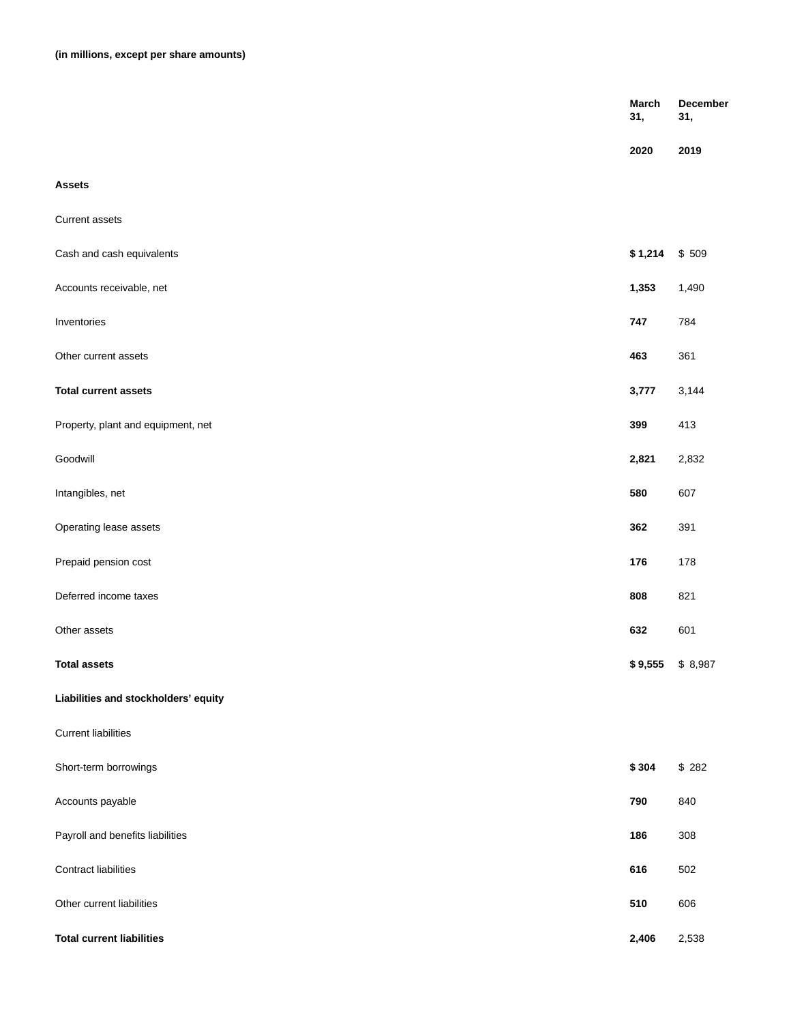|                                      | March<br>31, | <b>December</b><br>31, |
|--------------------------------------|--------------|------------------------|
|                                      | 2020         | 2019                   |
| <b>Assets</b>                        |              |                        |
| Current assets                       |              |                        |
| Cash and cash equivalents            | \$1,214      | \$ 509                 |
| Accounts receivable, net             | 1,353        | 1,490                  |
| Inventories                          | 747          | 784                    |
| Other current assets                 | 463          | 361                    |
| <b>Total current assets</b>          | 3,777        | 3,144                  |
| Property, plant and equipment, net   | 399          | 413                    |
| Goodwill                             | 2,821        | 2,832                  |
| Intangibles, net                     | 580          | 607                    |
| Operating lease assets               | 362          | 391                    |
| Prepaid pension cost                 | 176          | 178                    |
| Deferred income taxes                | 808          | 821                    |
| Other assets                         | 632          | 601                    |
| <b>Total assets</b>                  | \$9,555      | \$8,987                |
| Liabilities and stockholders' equity |              |                        |
| <b>Current liabilities</b>           |              |                        |
| Short-term borrowings                | \$304        | \$ 282                 |
| Accounts payable                     | 790          | 840                    |
| Payroll and benefits liabilities     | 186          | 308                    |
| <b>Contract liabilities</b>          | 616          | 502                    |
| Other current liabilities            | 510          | 606                    |
| <b>Total current liabilities</b>     | 2,406        | 2,538                  |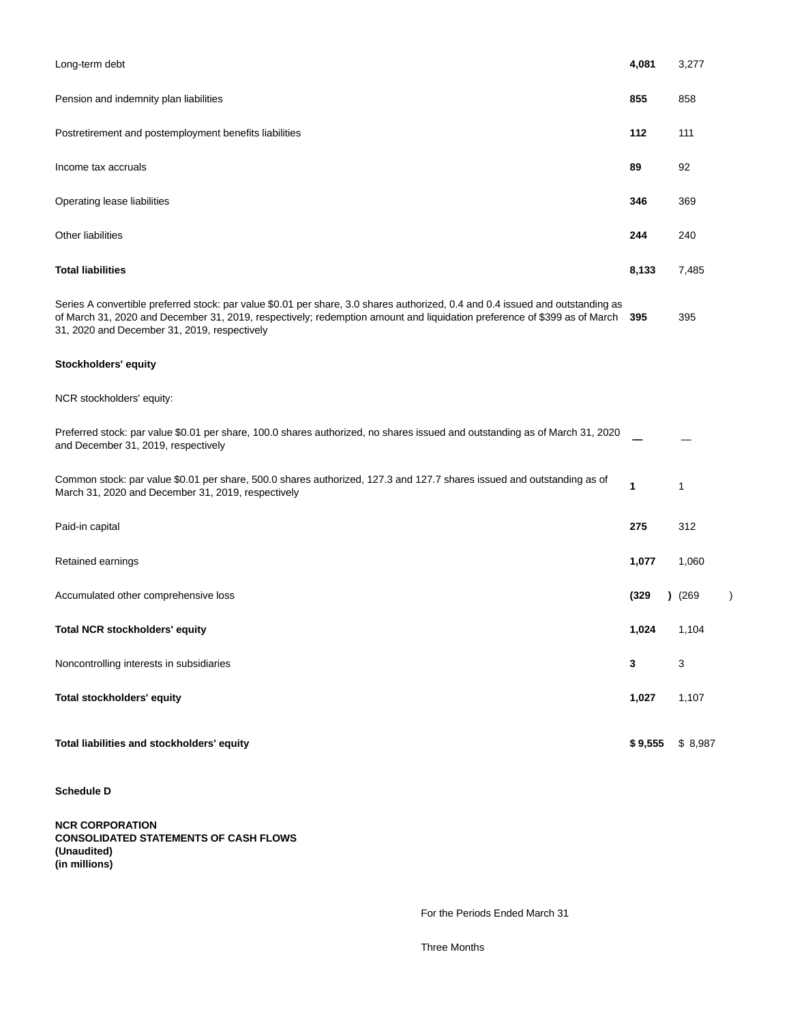| Long-term debt                                                                                                                                                                                                                                                                                             | 4,081   | 3,277   |
|------------------------------------------------------------------------------------------------------------------------------------------------------------------------------------------------------------------------------------------------------------------------------------------------------------|---------|---------|
| Pension and indemnity plan liabilities                                                                                                                                                                                                                                                                     | 855     | 858     |
| Postretirement and postemployment benefits liabilities                                                                                                                                                                                                                                                     | 112     | 111     |
| Income tax accruals                                                                                                                                                                                                                                                                                        | 89      | 92      |
| Operating lease liabilities                                                                                                                                                                                                                                                                                | 346     | 369     |
| Other liabilities                                                                                                                                                                                                                                                                                          | 244     | 240     |
| <b>Total liabilities</b>                                                                                                                                                                                                                                                                                   | 8,133   | 7,485   |
| Series A convertible preferred stock: par value \$0.01 per share, 3.0 shares authorized, 0.4 and 0.4 issued and outstanding as<br>of March 31, 2020 and December 31, 2019, respectively; redemption amount and liquidation preference of \$399 as of March<br>31, 2020 and December 31, 2019, respectively | 395     | 395     |
| Stockholders' equity                                                                                                                                                                                                                                                                                       |         |         |
| NCR stockholders' equity:                                                                                                                                                                                                                                                                                  |         |         |
| Preferred stock: par value \$0.01 per share, 100.0 shares authorized, no shares issued and outstanding as of March 31, 2020<br>and December 31, 2019, respectively                                                                                                                                         |         |         |
| Common stock: par value \$0.01 per share, 500.0 shares authorized, 127.3 and 127.7 shares issued and outstanding as of<br>March 31, 2020 and December 31, 2019, respectively                                                                                                                               | 1       | 1       |
| Paid-in capital                                                                                                                                                                                                                                                                                            | 275     | 312     |
| Retained earnings                                                                                                                                                                                                                                                                                          | 1,077   | 1,060   |
| Accumulated other comprehensive loss                                                                                                                                                                                                                                                                       | (329)   | (269)   |
| <b>Total NCR stockholders' equity</b>                                                                                                                                                                                                                                                                      | 1,024   | 1,104   |
| Noncontrolling interests in subsidiaries                                                                                                                                                                                                                                                                   | 3       | 3       |
| Total stockholders' equity                                                                                                                                                                                                                                                                                 | 1,027   | 1,107   |
| Total liabilities and stockholders' equity                                                                                                                                                                                                                                                                 | \$9,555 | \$8,987 |

**Schedule D**

**NCR CORPORATION CONSOLIDATED STATEMENTS OF CASH FLOWS (Unaudited) (in millions)**

For the Periods Ended March 31

Three Months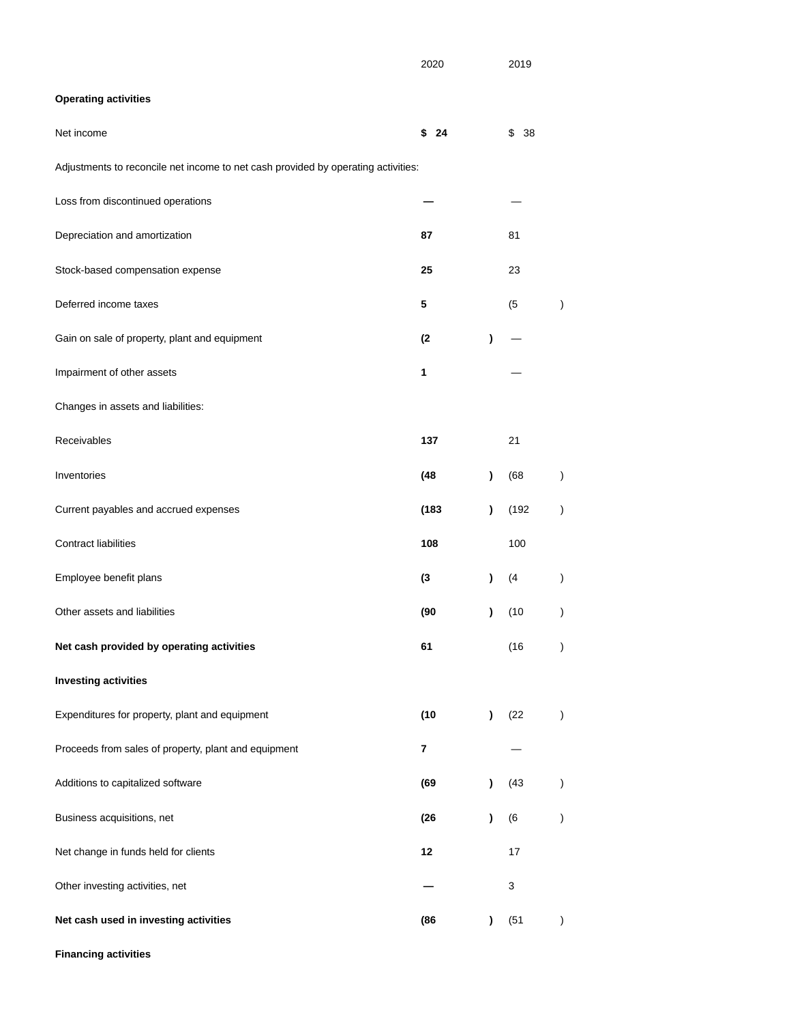|                                                                                   | 2020       |           | 2019      |   |
|-----------------------------------------------------------------------------------|------------|-----------|-----------|---|
| <b>Operating activities</b>                                                       |            |           |           |   |
| Net income                                                                        | \$<br>- 24 |           | \$<br>-38 |   |
| Adjustments to reconcile net income to net cash provided by operating activities: |            |           |           |   |
| Loss from discontinued operations                                                 |            |           |           |   |
| Depreciation and amortization                                                     | 87         |           | 81        |   |
| Stock-based compensation expense                                                  | 25         |           | 23        |   |
| Deferred income taxes                                                             | 5          |           | (5)       |   |
| Gain on sale of property, plant and equipment                                     | (2)        | $\lambda$ |           |   |
| Impairment of other assets                                                        | 1          |           |           |   |
| Changes in assets and liabilities:                                                |            |           |           |   |
| Receivables                                                                       | 137        |           | 21        |   |
| Inventories                                                                       | (48)       | )         | (68)      |   |
| Current payables and accrued expenses                                             | (183)      | $\lambda$ | (192)     |   |
| <b>Contract liabilities</b>                                                       | 108        |           | 100       |   |
| Employee benefit plans                                                            | (3)        | $\lambda$ | (4)       |   |
| Other assets and liabilities                                                      | (90)       | )         | (10)      | ) |
| Net cash provided by operating activities                                         | 61         |           | (16)      | ) |
| <b>Investing activities</b>                                                       |            |           |           |   |
| Expenditures for property, plant and equipment                                    | (10)       | $\lambda$ | (22)      | ) |
| Proceeds from sales of property, plant and equipment                              | 7          |           |           |   |
| Additions to capitalized software                                                 | (69)       | )         | (43)      |   |
| Business acquisitions, net                                                        | (26)       | )         | (6)       |   |
| Net change in funds held for clients                                              | 12         |           | 17        |   |
| Other investing activities, net                                                   |            |           | 3         |   |
| Net cash used in investing activities                                             | (86)       | )         | (51)      |   |
|                                                                                   |            |           |           |   |

**Financing activities**